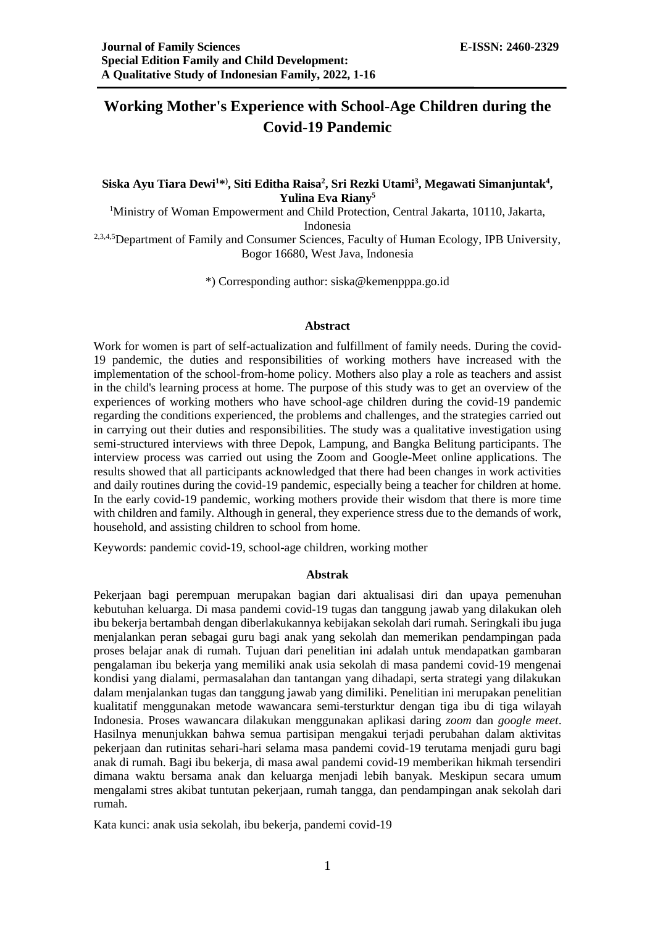# **Working Mother's Experience with School-Age Children during the Covid-19 Pandemic**

# **Siska Ayu Tiara Dewi<sup>1</sup>\* ) , Siti Editha Raisa<sup>2</sup> , Sri Rezki Utami<sup>3</sup> , Megawati Simanjuntak<sup>4</sup> , Yulina Eva Riany<sup>5</sup>**

<sup>1</sup>Ministry of Woman Empowerment and Child Protection, Central Jakarta, 10110, Jakarta, Indonesia

<sup>2,3,4,5</sup>Department of Family and Consumer Sciences, Faculty of Human Ecology, IPB University, Bogor 16680, West Java, Indonesia

\*) Corresponding author: siska@kemenpppa.go.id

#### **Abstract**

Work for women is part of self-actualization and fulfillment of family needs. During the covid-19 pandemic, the duties and responsibilities of working mothers have increased with the implementation of the school-from-home policy. Mothers also play a role as teachers and assist in the child's learning process at home. The purpose of this study was to get an overview of the experiences of working mothers who have school-age children during the covid-19 pandemic regarding the conditions experienced, the problems and challenges, and the strategies carried out in carrying out their duties and responsibilities. The study was a qualitative investigation using semi-structured interviews with three Depok, Lampung, and Bangka Belitung participants. The interview process was carried out using the Zoom and Google-Meet online applications. The results showed that all participants acknowledged that there had been changes in work activities and daily routines during the covid-19 pandemic, especially being a teacher for children at home. In the early covid-19 pandemic, working mothers provide their wisdom that there is more time with children and family. Although in general, they experience stress due to the demands of work, household, and assisting children to school from home.

Keywords: pandemic covid-19, school-age children, working mother

## **Abstrak**

Pekerjaan bagi perempuan merupakan bagian dari aktualisasi diri dan upaya pemenuhan kebutuhan keluarga. Di masa pandemi covid-19 tugas dan tanggung jawab yang dilakukan oleh ibu bekerja bertambah dengan diberlakukannya kebijakan sekolah dari rumah. Seringkali ibu juga menjalankan peran sebagai guru bagi anak yang sekolah dan memerikan pendampingan pada proses belajar anak di rumah. Tujuan dari penelitian ini adalah untuk mendapatkan gambaran pengalaman ibu bekerja yang memiliki anak usia sekolah di masa pandemi covid-19 mengenai kondisi yang dialami, permasalahan dan tantangan yang dihadapi, serta strategi yang dilakukan dalam menjalankan tugas dan tanggung jawab yang dimiliki. Penelitian ini merupakan penelitian kualitatif menggunakan metode wawancara semi-tersturktur dengan tiga ibu di tiga wilayah Indonesia. Proses wawancara dilakukan menggunakan aplikasi daring *zoom* dan *google meet*. Hasilnya menunjukkan bahwa semua partisipan mengakui terjadi perubahan dalam aktivitas pekerjaan dan rutinitas sehari-hari selama masa pandemi covid-19 terutama menjadi guru bagi anak di rumah. Bagi ibu bekerja, di masa awal pandemi covid-19 memberikan hikmah tersendiri dimana waktu bersama anak dan keluarga menjadi lebih banyak. Meskipun secara umum mengalami stres akibat tuntutan pekerjaan, rumah tangga, dan pendampingan anak sekolah dari rumah.

Kata kunci: anak usia sekolah, ibu bekerja, pandemi covid-19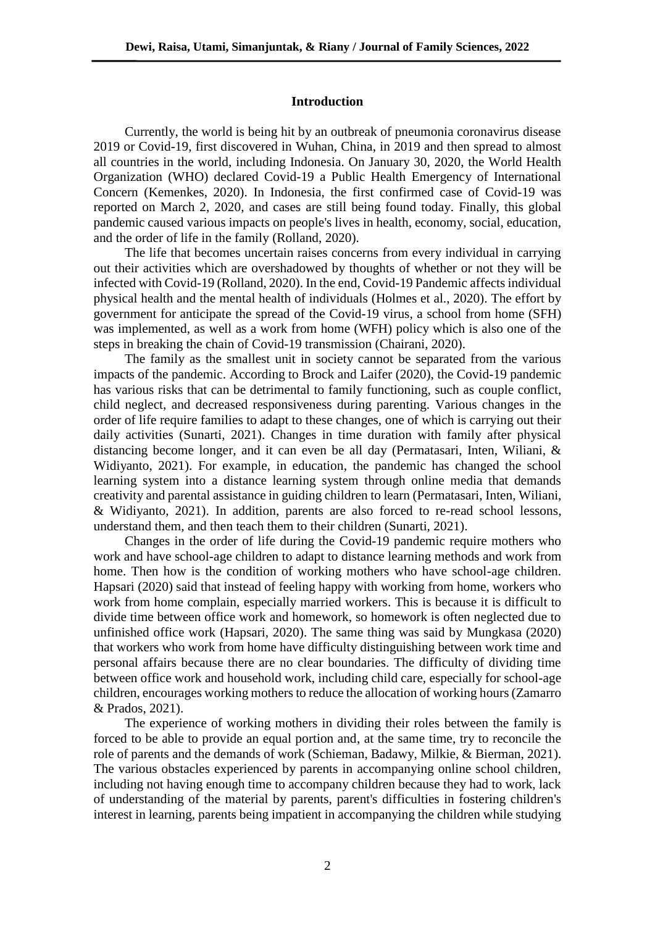#### **Introduction**

Currently, the world is being hit by an outbreak of pneumonia coronavirus disease 2019 or Covid-19, first discovered in Wuhan, China, in 2019 and then spread to almost all countries in the world, including Indonesia. On January 30, 2020, the World Health Organization (WHO) declared Covid-19 a Public Health Emergency of International Concern (Kemenkes, 2020). In Indonesia, the first confirmed case of Covid-19 was reported on March 2, 2020, and cases are still being found today. Finally, this global pandemic caused various impacts on people's lives in health, economy, social, education, and the order of life in the family (Rolland, 2020).

The life that becomes uncertain raises concerns from every individual in carrying out their activities which are overshadowed by thoughts of whether or not they will be infected with Covid-19 (Rolland, 2020). In the end, Covid-19 Pandemic affects individual physical health and the mental health of individuals (Holmes et al., 2020). The effort by government for anticipate the spread of the Covid-19 virus, a school from home (SFH) was implemented, as well as a work from home (WFH) policy which is also one of the steps in breaking the chain of Covid-19 transmission (Chairani, 2020).

The family as the smallest unit in society cannot be separated from the various impacts of the pandemic. According to Brock and Laifer (2020), the Covid-19 pandemic has various risks that can be detrimental to family functioning, such as couple conflict, child neglect, and decreased responsiveness during parenting. Various changes in the order of life require families to adapt to these changes, one of which is carrying out their daily activities (Sunarti, 2021). Changes in time duration with family after physical distancing become longer, and it can even be all day (Permatasari, Inten, Wiliani, & Widiyanto, 2021). For example, in education, the pandemic has changed the school learning system into a distance learning system through online media that demands creativity and parental assistance in guiding children to learn (Permatasari, Inten, Wiliani, & Widiyanto, 2021). In addition, parents are also forced to re-read school lessons, understand them, and then teach them to their children (Sunarti, 2021).

Changes in the order of life during the Covid-19 pandemic require mothers who work and have school-age children to adapt to distance learning methods and work from home. Then how is the condition of working mothers who have school-age children. Hapsari (2020) said that instead of feeling happy with working from home, workers who work from home complain, especially married workers. This is because it is difficult to divide time between office work and homework, so homework is often neglected due to unfinished office work (Hapsari, 2020). The same thing was said by Mungkasa (2020) that workers who work from home have difficulty distinguishing between work time and personal affairs because there are no clear boundaries. The difficulty of dividing time between office work and household work, including child care, especially for school-age children, encourages working mothers to reduce the allocation of working hours(Zamarro & Prados, 2021).

The experience of working mothers in dividing their roles between the family is forced to be able to provide an equal portion and, at the same time, try to reconcile the role of parents and the demands of work (Schieman, Badawy, Milkie, & Bierman, 2021). The various obstacles experienced by parents in accompanying online school children, including not having enough time to accompany children because they had to work, lack of understanding of the material by parents, parent's difficulties in fostering children's interest in learning, parents being impatient in accompanying the children while studying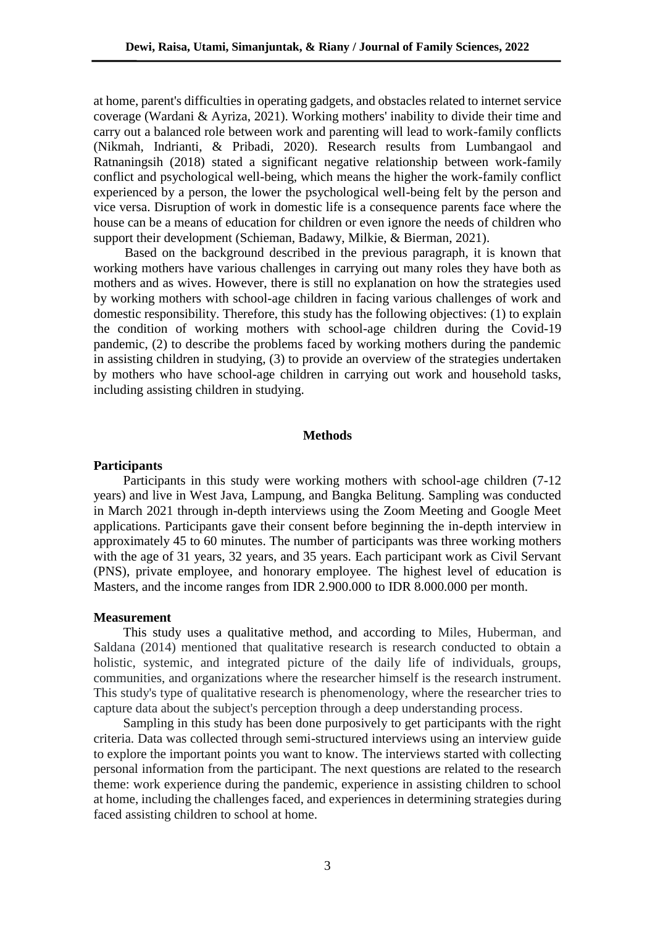at home, parent's difficulties in operating gadgets, and obstacles related to internet service coverage (Wardani & Ayriza, 2021). Working mothers' inability to divide their time and carry out a balanced role between work and parenting will lead to work-family conflicts (Nikmah, Indrianti, & Pribadi, 2020). Research results from Lumbangaol and Ratnaningsih (2018) stated a significant negative relationship between work-family conflict and psychological well-being, which means the higher the work-family conflict experienced by a person, the lower the psychological well-being felt by the person and vice versa. Disruption of work in domestic life is a consequence parents face where the house can be a means of education for children or even ignore the needs of children who support their development (Schieman, Badawy, Milkie, & Bierman, 2021).

Based on the background described in the previous paragraph, it is known that working mothers have various challenges in carrying out many roles they have both as mothers and as wives. However, there is still no explanation on how the strategies used by working mothers with school-age children in facing various challenges of work and domestic responsibility. Therefore, this study has the following objectives: (1) to explain the condition of working mothers with school-age children during the Covid-19 pandemic, (2) to describe the problems faced by working mothers during the pandemic in assisting children in studying, (3) to provide an overview of the strategies undertaken by mothers who have school-age children in carrying out work and household tasks, including assisting children in studying.

#### **Methods**

#### **Participants**

Participants in this study were working mothers with school-age children (7-12 years) and live in West Java, Lampung, and Bangka Belitung. Sampling was conducted in March 2021 through in-depth interviews using the Zoom Meeting and Google Meet applications. Participants gave their consent before beginning the in-depth interview in approximately 45 to 60 minutes. The number of participants was three working mothers with the age of 31 years, 32 years, and 35 years. Each participant work as Civil Servant (PNS), private employee, and honorary employee. The highest level of education is Masters, and the income ranges from IDR 2.900.000 to IDR 8.000.000 per month.

#### **Measurement**

This study uses a qualitative method, and according to Miles, Huberman, and Saldana (2014) mentioned that qualitative research is research conducted to obtain a holistic, systemic, and integrated picture of the daily life of individuals, groups, communities, and organizations where the researcher himself is the research instrument. This study's type of qualitative research is phenomenology, where the researcher tries to capture data about the subject's perception through a deep understanding process.

Sampling in this study has been done purposively to get participants with the right criteria. Data was collected through semi-structured interviews using an interview guide to explore the important points you want to know. The interviews started with collecting personal information from the participant. The next questions are related to the research theme: work experience during the pandemic, experience in assisting children to school at home, including the challenges faced, and experiences in determining strategies during faced assisting children to school at home.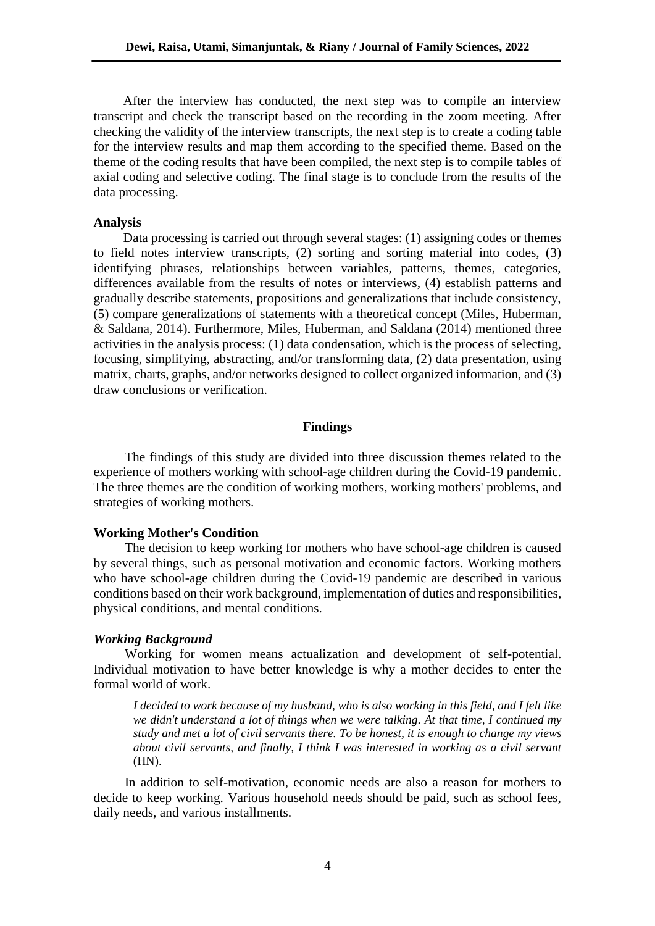After the interview has conducted, the next step was to compile an interview transcript and check the transcript based on the recording in the zoom meeting. After checking the validity of the interview transcripts, the next step is to create a coding table for the interview results and map them according to the specified theme. Based on the theme of the coding results that have been compiled, the next step is to compile tables of axial coding and selective coding. The final stage is to conclude from the results of the data processing.

#### **Analysis**

Data processing is carried out through several stages: (1) assigning codes or themes to field notes interview transcripts, (2) sorting and sorting material into codes, (3) identifying phrases, relationships between variables, patterns, themes, categories, differences available from the results of notes or interviews, (4) establish patterns and gradually describe statements, propositions and generalizations that include consistency, (5) compare generalizations of statements with a theoretical concept (Miles, Huberman, & Saldana, 2014). Furthermore, Miles, Huberman, and Saldana (2014) mentioned three activities in the analysis process: (1) data condensation, which is the process of selecting, focusing, simplifying, abstracting, and/or transforming data, (2) data presentation, using matrix, charts, graphs, and/or networks designed to collect organized information, and (3) draw conclusions or verification.

# **Findings**

The findings of this study are divided into three discussion themes related to the experience of mothers working with school-age children during the Covid-19 pandemic. The three themes are the condition of working mothers, working mothers' problems, and strategies of working mothers.

## **Working Mother's Condition**

The decision to keep working for mothers who have school-age children is caused by several things, such as personal motivation and economic factors. Working mothers who have school-age children during the Covid-19 pandemic are described in various conditions based on their work background, implementation of duties and responsibilities, physical conditions, and mental conditions.

#### *Working Background*

Working for women means actualization and development of self-potential. Individual motivation to have better knowledge is why a mother decides to enter the formal world of work.

*I decided to work because of my husband, who is also working in this field, and I felt like we didn't understand a lot of things when we were talking. At that time, I continued my study and met a lot of civil servants there. To be honest, it is enough to change my views about civil servants, and finally, I think I was interested in working as a civil servant*  (HN).

In addition to self-motivation, economic needs are also a reason for mothers to decide to keep working. Various household needs should be paid, such as school fees, daily needs, and various installments.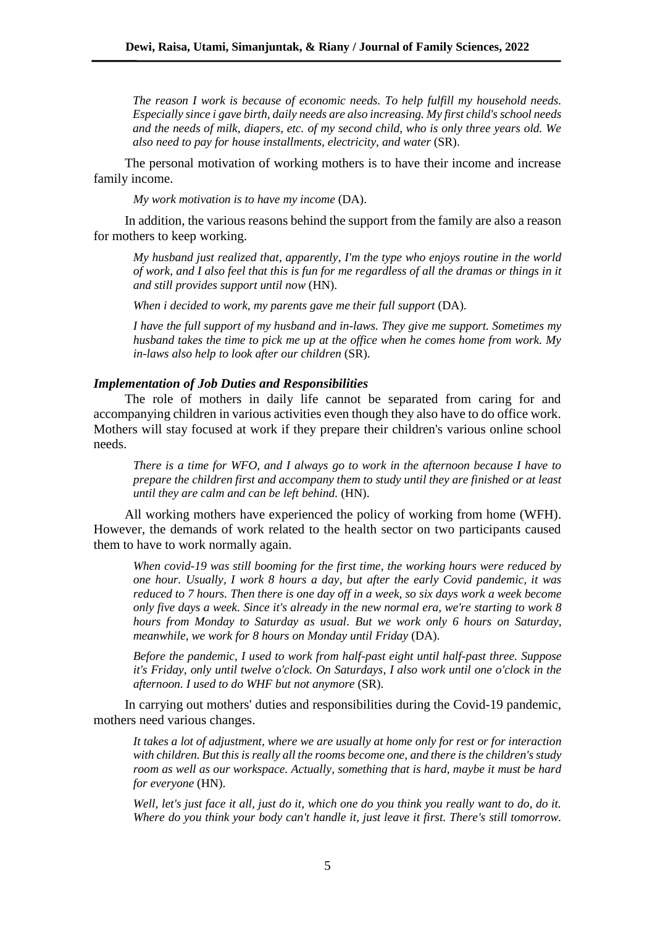*The reason I work is because of economic needs. To help fulfill my household needs. Especially since i gave birth, daily needs are also increasing. My first child's school needs and the needs of milk, diapers, etc. of my second child, who is only three years old. We also need to pay for house installments, electricity, and water* (SR).

The personal motivation of working mothers is to have their income and increase family income.

*My work motivation is to have my income* (DA).

In addition, the various reasons behind the support from the family are also a reason for mothers to keep working.

*My husband just realized that, apparently, I'm the type who enjoys routine in the world of work, and I also feel that this is fun for me regardless of all the dramas or things in it and still provides support until now* (HN).

*When i decided to work, my parents gave me their full support* (DA).

*I have the full support of my husband and in-laws. They give me support. Sometimes my husband takes the time to pick me up at the office when he comes home from work. My in-laws also help to look after our children* (SR).

#### *Implementation of Job Duties and Responsibilities*

The role of mothers in daily life cannot be separated from caring for and accompanying children in various activities even though they also have to do office work. Mothers will stay focused at work if they prepare their children's various online school needs.

*There is a time for WFO, and I always go to work in the afternoon because I have to prepare the children first and accompany them to study until they are finished or at least until they are calm and can be left behind.* (HN).

All working mothers have experienced the policy of working from home (WFH). However, the demands of work related to the health sector on two participants caused them to have to work normally again.

*When covid-19 was still booming for the first time, the working hours were reduced by one hour. Usually, I work 8 hours a day, but after the early Covid pandemic, it was reduced to 7 hours. Then there is one day off in a week, so six days work a week become only five days a week. Since it's already in the new normal era, we're starting to work 8 hours from Monday to Saturday as usual. But we work only 6 hours on Saturday, meanwhile, we work for 8 hours on Monday until Friday* (DA).

*Before the pandemic, I used to work from half-past eight until half-past three. Suppose it's Friday, only until twelve o'clock. On Saturdays, I also work until one o'clock in the afternoon. I used to do WHF but not anymore* (SR).

In carrying out mothers' duties and responsibilities during the Covid-19 pandemic, mothers need various changes.

*It takes a lot of adjustment, where we are usually at home only for rest or for interaction with children. But this is really all the rooms become one, and there is the children's study room as well as our workspace. Actually, something that is hard, maybe it must be hard for everyone* (HN).

*Well, let's just face it all, just do it, which one do you think you really want to do, do it. Where do you think your body can't handle it, just leave it first. There's still tomorrow.*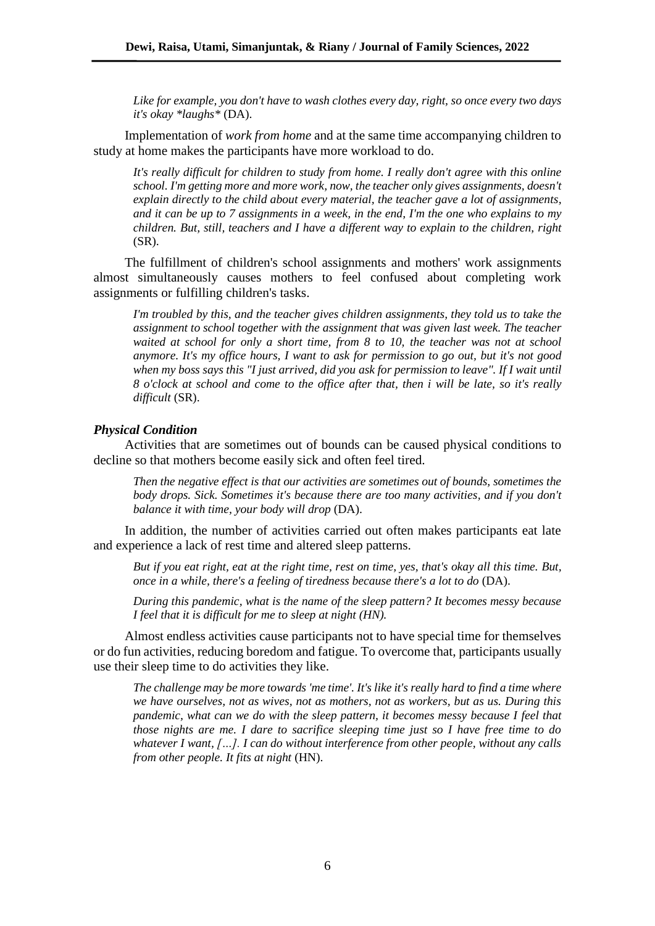*Like for example, you don't have to wash clothes every day, right, so once every two days it's okay \*laughs\** (DA).

Implementation of *work from home* and at the same time accompanying children to study at home makes the participants have more workload to do.

*It's really difficult for children to study from home. I really don't agree with this online school. I'm getting more and more work, now, the teacher only gives assignments, doesn't explain directly to the child about every material, the teacher gave a lot of assignments, and it can be up to 7 assignments in a week, in the end, I'm the one who explains to my children. But, still, teachers and I have a different way to explain to the children, right* (SR).

The fulfillment of children's school assignments and mothers' work assignments almost simultaneously causes mothers to feel confused about completing work assignments or fulfilling children's tasks.

*I'm troubled by this, and the teacher gives children assignments, they told us to take the assignment to school together with the assignment that was given last week. The teacher waited at school for only a short time, from 8 to 10, the teacher was not at school anymore. It's my office hours, I want to ask for permission to go out, but it's not good when my boss says this "I just arrived, did you ask for permission to leave". If I wait until 8 o'clock at school and come to the office after that, then i will be late, so it's really difficult* (SR).

## *Physical Condition*

Activities that are sometimes out of bounds can be caused physical conditions to decline so that mothers become easily sick and often feel tired.

*Then the negative effect is that our activities are sometimes out of bounds, sometimes the body drops. Sick. Sometimes it's because there are too many activities, and if you don't balance it with time, your body will drop* (DA).

In addition, the number of activities carried out often makes participants eat late and experience a lack of rest time and altered sleep patterns.

*But if you eat right, eat at the right time, rest on time, yes, that's okay all this time. But, once in a while, there's a feeling of tiredness because there's a lot to do* (DA).

*During this pandemic, what is the name of the sleep pattern? It becomes messy because I feel that it is difficult for me to sleep at night (HN).*

Almost endless activities cause participants not to have special time for themselves or do fun activities, reducing boredom and fatigue. To overcome that, participants usually use their sleep time to do activities they like.

*The challenge may be more towards 'me time'. It's like it's really hard to find a time where we have ourselves, not as wives, not as mothers, not as workers, but as us. During this pandemic, what can we do with the sleep pattern, it becomes messy because I feel that those nights are me. I dare to sacrifice sleeping time just so I have free time to do whatever I want, […]. I can do without interference from other people, without any calls from other people. It fits at night* (HN).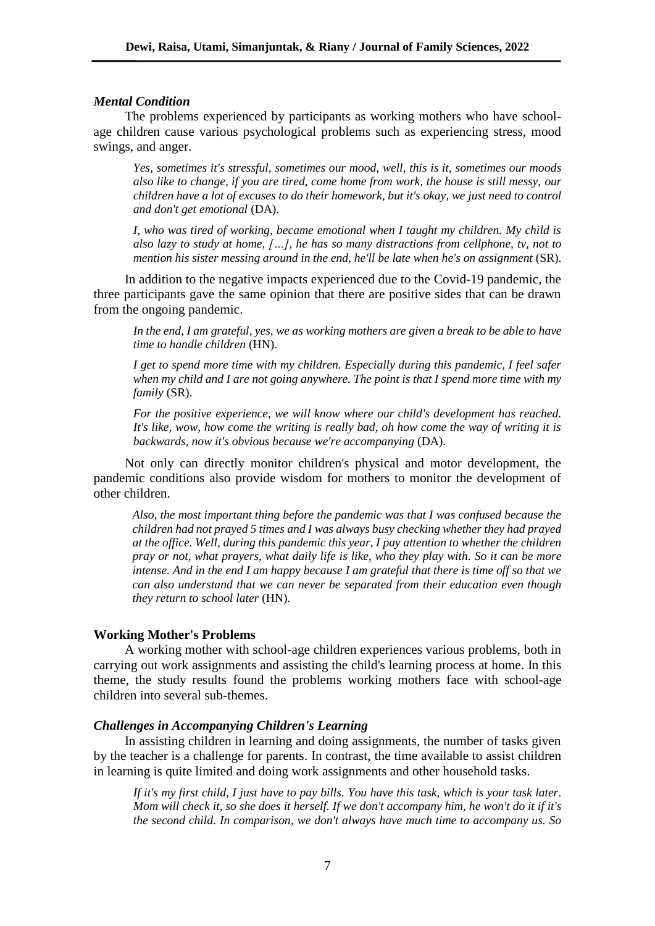## *Mental Condition*

The problems experienced by participants as working mothers who have schoolage children cause various psychological problems such as experiencing stress, mood swings, and anger.

*Yes, sometimes it's stressful, sometimes our mood, well, this is it, sometimes our moods also like to change, if you are tired, come home from work, the house is still messy, our children have a lot of excuses to do their homework, but it's okay, we just need to control and don't get emotional* (DA).

*I, who was tired of working, became emotional when I taught my children. My child is also lazy to study at home, […], he has so many distractions from cellphone, tv, not to mention his sister messing around in the end, he'll be late when he's on assignment* (SR).

In addition to the negative impacts experienced due to the Covid-19 pandemic, the three participants gave the same opinion that there are positive sides that can be drawn from the ongoing pandemic.

*In the end, I am grateful, yes, we as working mothers are given a break to be able to have time to handle children* (HN).

*I get to spend more time with my children. Especially during this pandemic, I feel safer when my child and I are not going anywhere. The point is that I spend more time with my family* (SR).

*For the positive experience, we will know where our child's development has reached. It's like, wow, how come the writing is really bad, oh how come the way of writing it is backwards, now it's obvious because we're accompanying* (DA).

Not only can directly monitor children's physical and motor development, the pandemic conditions also provide wisdom for mothers to monitor the development of other children.

*Also, the most important thing before the pandemic was that I was confused because the children had not prayed 5 times and I was always busy checking whether they had prayed at the office. Well, during this pandemic this year, I pay attention to whether the children pray or not, what prayers, what daily life is like, who they play with. So it can be more intense. And in the end I am happy because I am grateful that there is time off so that we can also understand that we can never be separated from their education even though they return to school later* (HN).

## **Working Mother's Problems**

A working mother with school-age children experiences various problems, both in carrying out work assignments and assisting the child's learning process at home. In this theme, the study results found the problems working mothers face with school-age children into several sub-themes.

#### *Challenges in Accompanying Children's Learning*

In assisting children in learning and doing assignments, the number of tasks given by the teacher is a challenge for parents. In contrast, the time available to assist children in learning is quite limited and doing work assignments and other household tasks.

*If it's my first child, I just have to pay bills. You have this task, which is your task later. Mom will check it, so she does it herself. If we don't accompany him, he won't do it if it's the second child. In comparison, we don't always have much time to accompany us. So*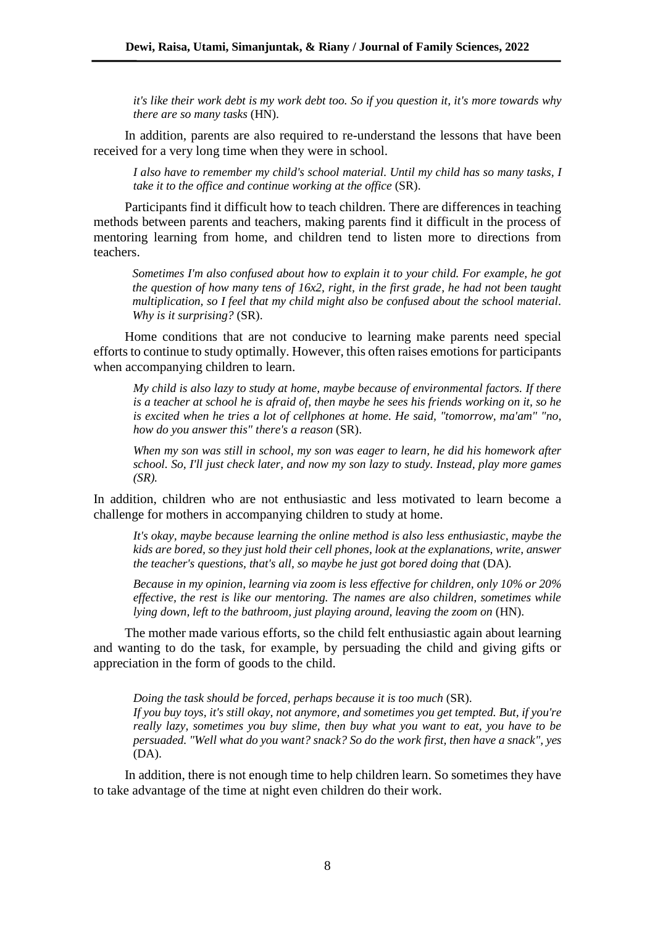*it's like their work debt is my work debt too. So if you question it, it's more towards why there are so many tasks* (HN).

In addition, parents are also required to re-understand the lessons that have been received for a very long time when they were in school.

*I also have to remember my child's school material. Until my child has so many tasks, I take it to the office and continue working at the office* (SR).

Participants find it difficult how to teach children. There are differences in teaching methods between parents and teachers, making parents find it difficult in the process of mentoring learning from home, and children tend to listen more to directions from teachers.

*Sometimes I'm also confused about how to explain it to your child. For example, he got the question of how many tens of 16x2, right, in the first grade, he had not been taught multiplication, so I feel that my child might also be confused about the school material. Why is it surprising?* (SR).

Home conditions that are not conducive to learning make parents need special efforts to continue to study optimally. However, this often raises emotions for participants when accompanying children to learn.

*My child is also lazy to study at home, maybe because of environmental factors. If there is a teacher at school he is afraid of, then maybe he sees his friends working on it, so he is excited when he tries a lot of cellphones at home. He said, "tomorrow, ma'am" "no, how do you answer this" there's a reason* (SR).

*When my son was still in school, my son was eager to learn, he did his homework after school. So, I'll just check later, and now my son lazy to study. Instead, play more games (SR).*

In addition, children who are not enthusiastic and less motivated to learn become a challenge for mothers in accompanying children to study at home.

*It's okay, maybe because learning the online method is also less enthusiastic, maybe the kids are bored, so they just hold their cell phones, look at the explanations, write, answer the teacher's questions, that's all, so maybe he just got bored doing that (DA).* 

*Because in my opinion, learning via zoom is less effective for children, only 10% or 20% effective, the rest is like our mentoring. The names are also children, sometimes while lying down, left to the bathroom, just playing around, leaving the zoom on (HN).* 

The mother made various efforts, so the child felt enthusiastic again about learning and wanting to do the task, for example, by persuading the child and giving gifts or appreciation in the form of goods to the child.

*Doing the task should be forced, perhaps because it is too much* (SR). *If you buy toys, it's still okay, not anymore, and sometimes you get tempted. But, if you're really lazy, sometimes you buy slime, then buy what you want to eat, you have to be persuaded. "Well what do you want? snack? So do the work first, then have a snack", yes*  (DA).

In addition, there is not enough time to help children learn. So sometimes they have to take advantage of the time at night even children do their work.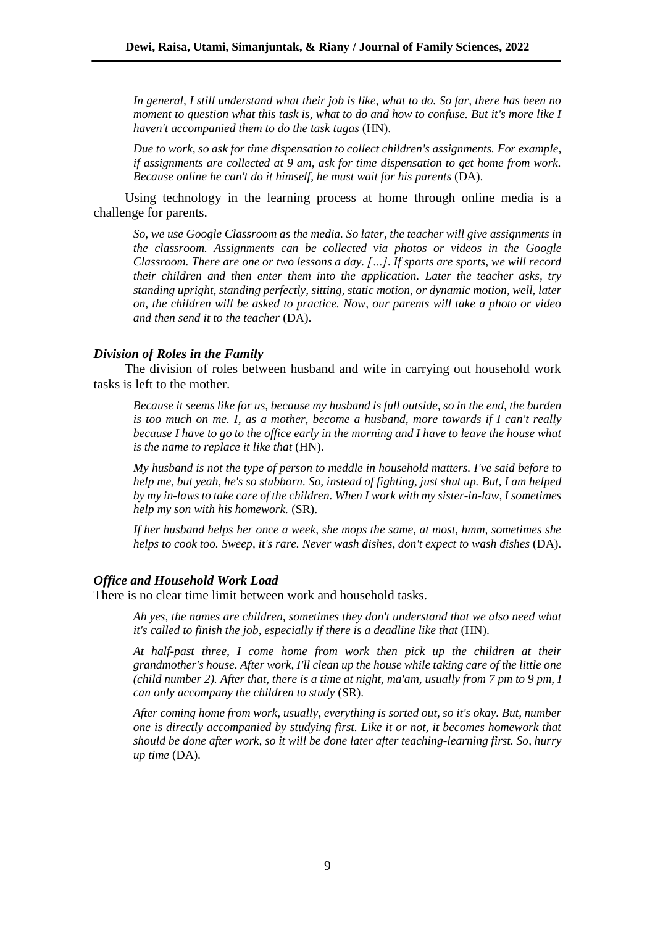*In general, I still understand what their job is like, what to do. So far, there has been no moment to question what this task is, what to do and how to confuse. But it's more like I haven't accompanied them to do the task tugas* (HN).

*Due to work, so ask for time dispensation to collect children's assignments. For example, if assignments are collected at 9 am, ask for time dispensation to get home from work. Because online he can't do it himself, he must wait for his parents* (DA).

Using technology in the learning process at home through online media is a challenge for parents.

*So, we use Google Classroom as the media. So later, the teacher will give assignments in the classroom. Assignments can be collected via photos or videos in the Google Classroom. There are one or two lessons a day. […]. If sports are sports, we will record their children and then enter them into the application. Later the teacher asks, try standing upright, standing perfectly, sitting, static motion, or dynamic motion, well, later on, the children will be asked to practice. Now, our parents will take a photo or video and then send it to the teacher* (DA).

#### *Division of Roles in the Family*

The division of roles between husband and wife in carrying out household work tasks is left to the mother.

*Because it seems like for us, because my husband is full outside, so in the end, the burden is too much on me. I, as a mother, become a husband, more towards if I can't really because I have to go to the office early in the morning and I have to leave the house what is the name to replace it like that* (HN).

*My husband is not the type of person to meddle in household matters. I've said before to help me, but yeah, he's so stubborn. So, instead of fighting, just shut up. But, I am helped by my in-laws to take care of the children. When I work with my sister-in-law, I sometimes help my son with his homework.* (SR).

*If her husband helps her once a week, she mops the same, at most, hmm, sometimes she helps to cook too. Sweep, it's rare. Never wash dishes, don't expect to wash dishes* (DA).

#### *Office and Household Work Load*

There is no clear time limit between work and household tasks.

*Ah yes, the names are children, sometimes they don't understand that we also need what it's called to finish the job, especially if there is a deadline like that* (HN).

*At half-past three, I come home from work then pick up the children at their grandmother's house. After work, I'll clean up the house while taking care of the little one (child number 2). After that, there is a time at night, ma'am, usually from 7 pm to 9 pm, I can only accompany the children to study* (SR).

*After coming home from work, usually, everything is sorted out, so it's okay. But, number one is directly accompanied by studying first. Like it or not, it becomes homework that should be done after work, so it will be done later after teaching-learning first. So, hurry up time* (DA)*.*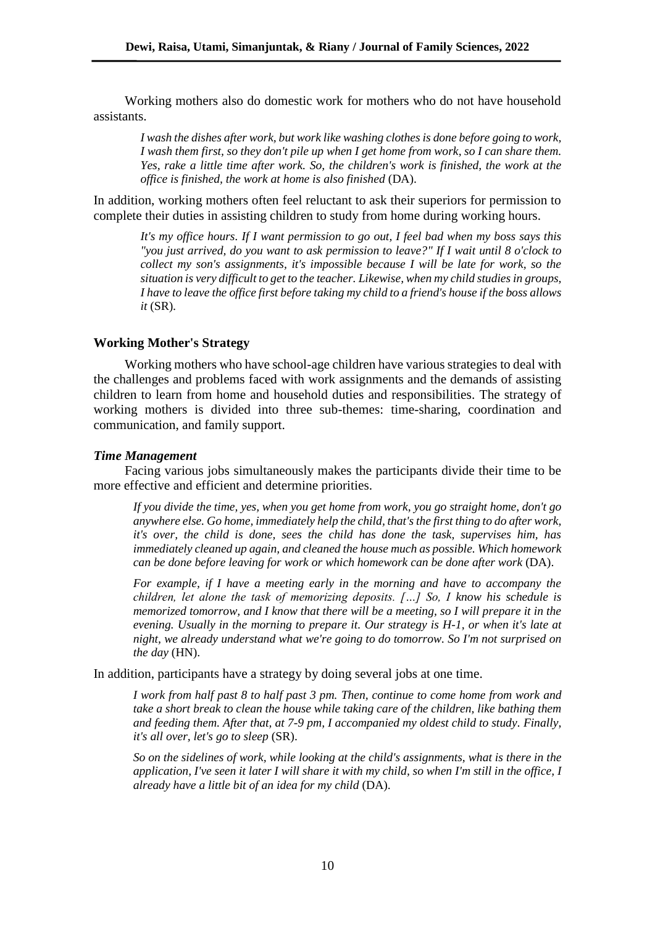Working mothers also do domestic work for mothers who do not have household assistants.

*I wash the dishes after work, but work like washing clothes is done before going to work, I wash them first, so they don't pile up when I get home from work, so I can share them. Yes, rake a little time after work. So, the children's work is finished, the work at the office is finished, the work at home is also finished* (DA).

In addition, working mothers often feel reluctant to ask their superiors for permission to complete their duties in assisting children to study from home during working hours.

*It's my office hours. If I want permission to go out, I feel bad when my boss says this "you just arrived, do you want to ask permission to leave?" If I wait until 8 o'clock to collect my son's assignments, it's impossible because I will be late for work, so the situation is very difficult to get to the teacher. Likewise, when my child studies in groups, I have to leave the office first before taking my child to a friend's house if the boss allows it* (SR)*.*

## **Working Mother's Strategy**

Working mothers who have school-age children have various strategies to deal with the challenges and problems faced with work assignments and the demands of assisting children to learn from home and household duties and responsibilities. The strategy of working mothers is divided into three sub-themes: time-sharing, coordination and communication, and family support.

## *Time Management*

Facing various jobs simultaneously makes the participants divide their time to be more effective and efficient and determine priorities.

*If you divide the time, yes, when you get home from work, you go straight home, don't go anywhere else. Go home, immediately help the child, that's the first thing to do after work, it's over, the child is done, sees the child has done the task, supervises him, has immediately cleaned up again, and cleaned the house much as possible. Which homework can be done before leaving for work or which homework can be done after work (DA).* 

*For example, if I have a meeting early in the morning and have to accompany the children, let alone the task of memorizing deposits. […] So, I know his schedule is memorized tomorrow, and I know that there will be a meeting, so I will prepare it in the evening. Usually in the morning to prepare it. Our strategy is H-1, or when it's late at night, we already understand what we're going to do tomorrow. So I'm not surprised on the day* (HN).

In addition, participants have a strategy by doing several jobs at one time.

*I work from half past 8 to half past 3 pm. Then, continue to come home from work and take a short break to clean the house while taking care of the children, like bathing them and feeding them. After that, at 7-9 pm, I accompanied my oldest child to study. Finally, it's all over, let's go to sleep* (SR).

*So on the sidelines of work, while looking at the child's assignments, what is there in the application, I've seen it later I will share it with my child, so when I'm still in the office, I already have a little bit of an idea for my child* (DA).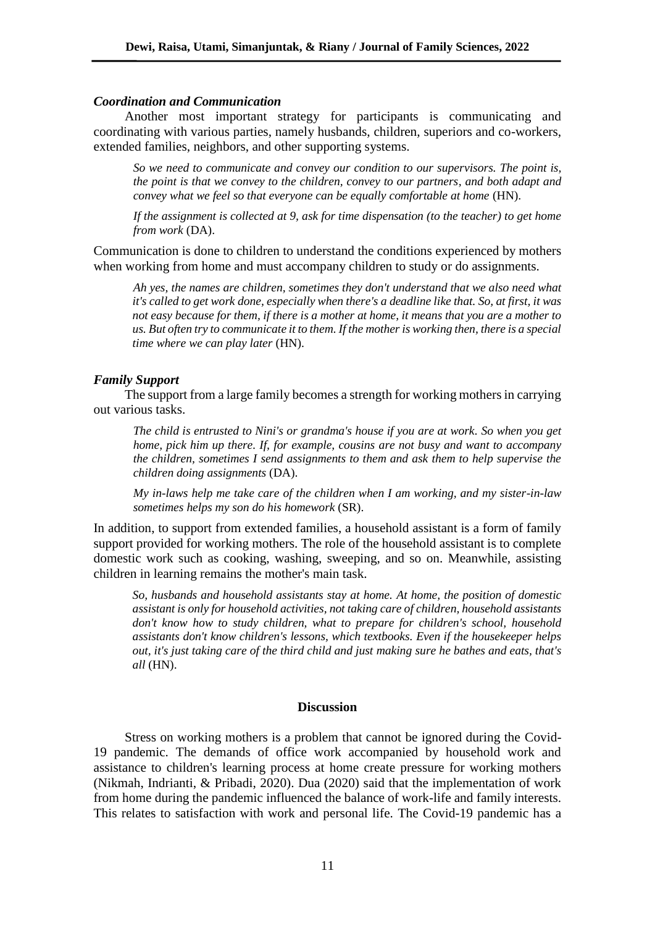#### *Coordination and Communication*

Another most important strategy for participants is communicating and coordinating with various parties, namely husbands, children, superiors and co-workers, extended families, neighbors, and other supporting systems.

*So we need to communicate and convey our condition to our supervisors. The point is, the point is that we convey to the children, convey to our partners, and both adapt and convey what we feel so that everyone can be equally comfortable at home* (HN).

*If the assignment is collected at 9, ask for time dispensation (to the teacher) to get home from work* (DA).

Communication is done to children to understand the conditions experienced by mothers when working from home and must accompany children to study or do assignments.

*Ah yes, the names are children, sometimes they don't understand that we also need what it's called to get work done, especially when there's a deadline like that. So, at first, it was not easy because for them, if there is a mother at home, it means that you are a mother to us. But often try to communicate it to them. If the mother is working then, there is a special time where we can play later* (HN).

## *Family Support*

The support from a large family becomes a strength for working mothers in carrying out various tasks.

*The child is entrusted to Nini's or grandma's house if you are at work. So when you get home, pick him up there. If, for example, cousins are not busy and want to accompany the children, sometimes I send assignments to them and ask them to help supervise the children doing assignments* (DA).

*My in-laws help me take care of the children when I am working, and my sister-in-law sometimes helps my son do his homework* (SR).

In addition, to support from extended families, a household assistant is a form of family support provided for working mothers. The role of the household assistant is to complete domestic work such as cooking, washing, sweeping, and so on. Meanwhile, assisting children in learning remains the mother's main task.

*So, husbands and household assistants stay at home. At home, the position of domestic assistant is only for household activities, not taking care of children, household assistants don't know how to study children, what to prepare for children's school, household assistants don't know children's lessons, which textbooks. Even if the housekeeper helps out, it's just taking care of the third child and just making sure he bathes and eats, that's all* (HN).

#### **Discussion**

Stress on working mothers is a problem that cannot be ignored during the Covid-19 pandemic. The demands of office work accompanied by household work and assistance to children's learning process at home create pressure for working mothers (Nikmah, Indrianti, & Pribadi, 2020). Dua (2020) said that the implementation of work from home during the pandemic influenced the balance of work-life and family interests. This relates to satisfaction with work and personal life. The Covid-19 pandemic has a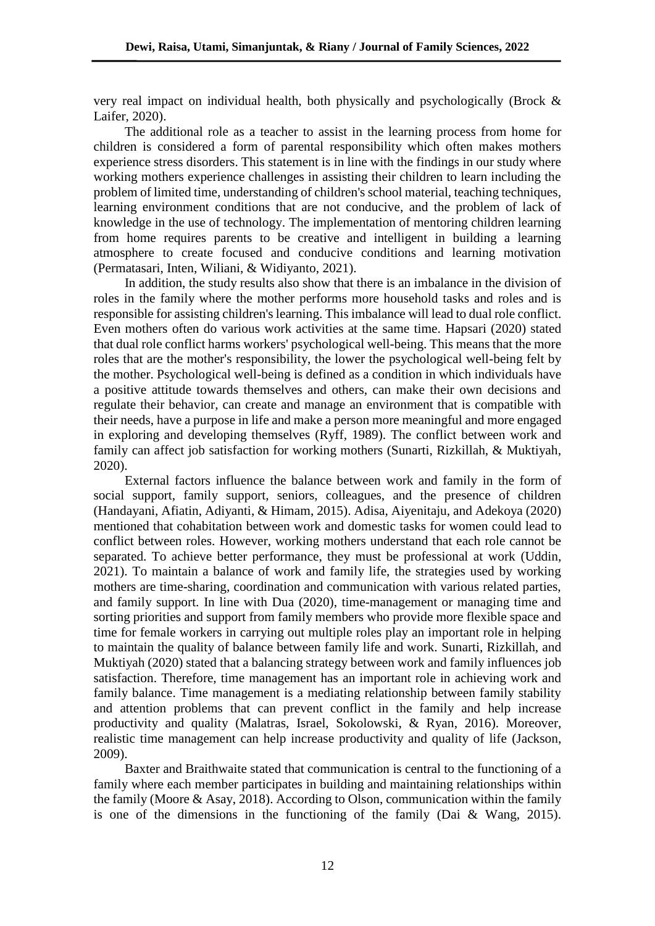very real impact on individual health, both physically and psychologically (Brock & Laifer, 2020).

The additional role as a teacher to assist in the learning process from home for children is considered a form of parental responsibility which often makes mothers experience stress disorders. This statement is in line with the findings in our study where working mothers experience challenges in assisting their children to learn including the problem of limited time, understanding of children's school material, teaching techniques, learning environment conditions that are not conducive, and the problem of lack of knowledge in the use of technology. The implementation of mentoring children learning from home requires parents to be creative and intelligent in building a learning atmosphere to create focused and conducive conditions and learning motivation (Permatasari, Inten, Wiliani, & Widiyanto, 2021).

In addition, the study results also show that there is an imbalance in the division of roles in the family where the mother performs more household tasks and roles and is responsible for assisting children's learning. This imbalance will lead to dual role conflict. Even mothers often do various work activities at the same time. Hapsari (2020) stated that dual role conflict harms workers' psychological well-being. This means that the more roles that are the mother's responsibility, the lower the psychological well-being felt by the mother. Psychological well-being is defined as a condition in which individuals have a positive attitude towards themselves and others, can make their own decisions and regulate their behavior, can create and manage an environment that is compatible with their needs, have a purpose in life and make a person more meaningful and more engaged in exploring and developing themselves (Ryff, 1989). The conflict between work and family can affect job satisfaction for working mothers (Sunarti, Rizkillah, & Muktiyah, 2020).

External factors influence the balance between work and family in the form of social support, family support, seniors, colleagues, and the presence of children (Handayani, Afiatin, Adiyanti, & Himam, 2015). Adisa, Aiyenitaju, and Adekoya (2020) mentioned that cohabitation between work and domestic tasks for women could lead to conflict between roles. However, working mothers understand that each role cannot be separated. To achieve better performance, they must be professional at work (Uddin, 2021). To maintain a balance of work and family life, the strategies used by working mothers are time-sharing, coordination and communication with various related parties, and family support. In line with Dua (2020), time-management or managing time and sorting priorities and support from family members who provide more flexible space and time for female workers in carrying out multiple roles play an important role in helping to maintain the quality of balance between family life and work. Sunarti, Rizkillah, and Muktiyah (2020) stated that a balancing strategy between work and family influences job satisfaction. Therefore, time management has an important role in achieving work and family balance. Time management is a mediating relationship between family stability and attention problems that can prevent conflict in the family and help increase productivity and quality (Malatras, Israel, Sokolowski, & Ryan, 2016). Moreover, realistic time management can help increase productivity and quality of life (Jackson, 2009).

Baxter and Braithwaite stated that communication is central to the functioning of a family where each member participates in building and maintaining relationships within the family (Moore & Asay, 2018). According to Olson, communication within the family is one of the dimensions in the functioning of the family (Dai & Wang, 2015).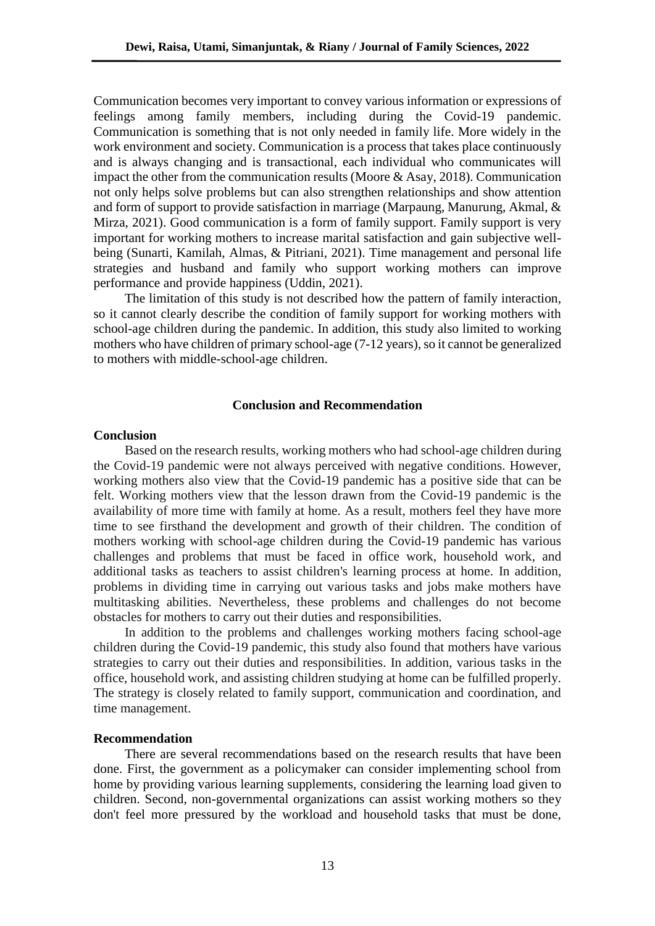Communication becomes very important to convey various information or expressions of feelings among family members, including during the Covid-19 pandemic. Communication is something that is not only needed in family life. More widely in the work environment and society. Communication is a process that takes place continuously and is always changing and is transactional, each individual who communicates will impact the other from the communication results (Moore & Asay, 2018). Communication not only helps solve problems but can also strengthen relationships and show attention and form of support to provide satisfaction in marriage (Marpaung, Manurung, Akmal, & Mirza, 2021). Good communication is a form of family support. Family support is very important for working mothers to increase marital satisfaction and gain subjective wellbeing (Sunarti, Kamilah, Almas, & Pitriani, 2021). Time management and personal life strategies and husband and family who support working mothers can improve performance and provide happiness (Uddin, 2021).

The limitation of this study is not described how the pattern of family interaction, so it cannot clearly describe the condition of family support for working mothers with school-age children during the pandemic. In addition, this study also limited to working mothers who have children of primary school-age (7-12 years), so it cannot be generalized to mothers with middle-school-age children.

#### **Conclusion and Recommendation**

#### **Conclusion**

Based on the research results, working mothers who had school-age children during the Covid-19 pandemic were not always perceived with negative conditions. However, working mothers also view that the Covid-19 pandemic has a positive side that can be felt. Working mothers view that the lesson drawn from the Covid-19 pandemic is the availability of more time with family at home. As a result, mothers feel they have more time to see firsthand the development and growth of their children. The condition of mothers working with school-age children during the Covid-19 pandemic has various challenges and problems that must be faced in office work, household work, and additional tasks as teachers to assist children's learning process at home. In addition, problems in dividing time in carrying out various tasks and jobs make mothers have multitasking abilities. Nevertheless, these problems and challenges do not become obstacles for mothers to carry out their duties and responsibilities.

In addition to the problems and challenges working mothers facing school-age children during the Covid-19 pandemic, this study also found that mothers have various strategies to carry out their duties and responsibilities. In addition, various tasks in the office, household work, and assisting children studying at home can be fulfilled properly. The strategy is closely related to family support, communication and coordination, and time management.

## **Recommendation**

There are several recommendations based on the research results that have been done. First, the government as a policymaker can consider implementing school from home by providing various learning supplements, considering the learning load given to children. Second, non-governmental organizations can assist working mothers so they don't feel more pressured by the workload and household tasks that must be done,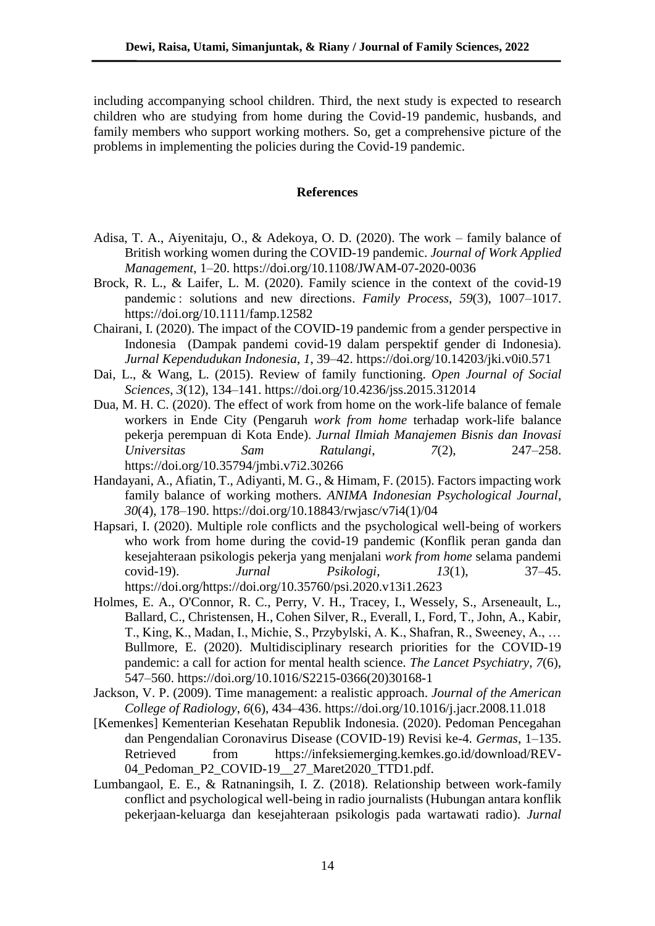including accompanying school children. Third, the next study is expected to research children who are studying from home during the Covid-19 pandemic, husbands, and family members who support working mothers. So, get a comprehensive picture of the problems in implementing the policies during the Covid-19 pandemic.

# **References**

- Adisa, T. A., Aiyenitaju, O., & Adekoya, O. D. (2020). The work family balance of British working women during the COVID-19 pandemic. *Journal of Work Applied Management*, 1–20. https://doi.org/10.1108/JWAM-07-2020-0036
- Brock, R. L., & Laifer, L. M. (2020). Family science in the context of the covid-19 pandemic : solutions and new directions. *Family Process*, *59*(3), 1007–1017. https://doi.org/10.1111/famp.12582
- Chairani, I. (2020). The impact of the COVID-19 pandemic from a gender perspective in Indonesia (Dampak pandemi covid-19 dalam perspektif gender di Indonesia). *Jurnal Kependudukan Indonesia*, *1*, 39–42. https://doi.org/10.14203/jki.v0i0.571
- Dai, L., & Wang, L. (2015). Review of family functioning. *Open Journal of Social Sciences*, *3*(12), 134–141. https://doi.org/10.4236/jss.2015.312014
- Dua, M. H. C. (2020). The effect of work from home on the work-life balance of female workers in Ende City (Pengaruh *work from home* terhadap work-life balance pekerja perempuan di Kota Ende). *Jurnal Ilmiah Manajemen Bisnis dan Inovasi Universitas Sam Ratulangi*, *7*(2), 247–258. https://doi.org/10.35794/jmbi.v7i2.30266
- Handayani, A., Afiatin, T., Adiyanti, M. G., & Himam, F. (2015). Factors impacting work family balance of working mothers. *ANIMA Indonesian Psychological Journal*, *30*(4), 178–190. https://doi.org/10.18843/rwjasc/v7i4(1)/04
- Hapsari, I. (2020). Multiple role conflicts and the psychological well-being of workers who work from home during the covid-19 pandemic (Konflik peran ganda dan kesejahteraan psikologis pekerja yang menjalani *work from home* selama pandemi covid-19). *Jurnal Psikologi*, *13*(1), 37–45. https://doi.org/https://doi.org/10.35760/psi.2020.v13i1.2623
- Holmes, E. A., O'Connor, R. C., Perry, V. H., Tracey, I., Wessely, S., Arseneault, L., Ballard, C., Christensen, H., Cohen Silver, R., Everall, I., Ford, T., John, A., Kabir, T., King, K., Madan, I., Michie, S., Przybylski, A. K., Shafran, R., Sweeney, A., … Bullmore, E. (2020). Multidisciplinary research priorities for the COVID-19 pandemic: a call for action for mental health science. *The Lancet Psychiatry*, *7*(6), 547–560. https://doi.org/10.1016/S2215-0366(20)30168-1
- Jackson, V. P. (2009). Time management: a realistic approach. *Journal of the American College of Radiology*, *6*(6), 434–436. https://doi.org/10.1016/j.jacr.2008.11.018
- [Kemenkes] Kementerian Kesehatan Republik Indonesia. (2020). Pedoman Pencegahan dan Pengendalian Coronavirus Disease (COVID-19) Revisi ke-4. *Germas*, 1–135. Retrieved from https://infeksiemerging.kemkes.go.id/download/REV-04 Pedoman P2 COVID-19 27 Maret2020 TTD1.pdf.
- Lumbangaol, E. E., & Ratnaningsih, I. Z. (2018). Relationship between work-family conflict and psychological well-being in radio journalists (Hubungan antara konflik pekerjaan-keluarga dan kesejahteraan psikologis pada wartawati radio). *Jurnal*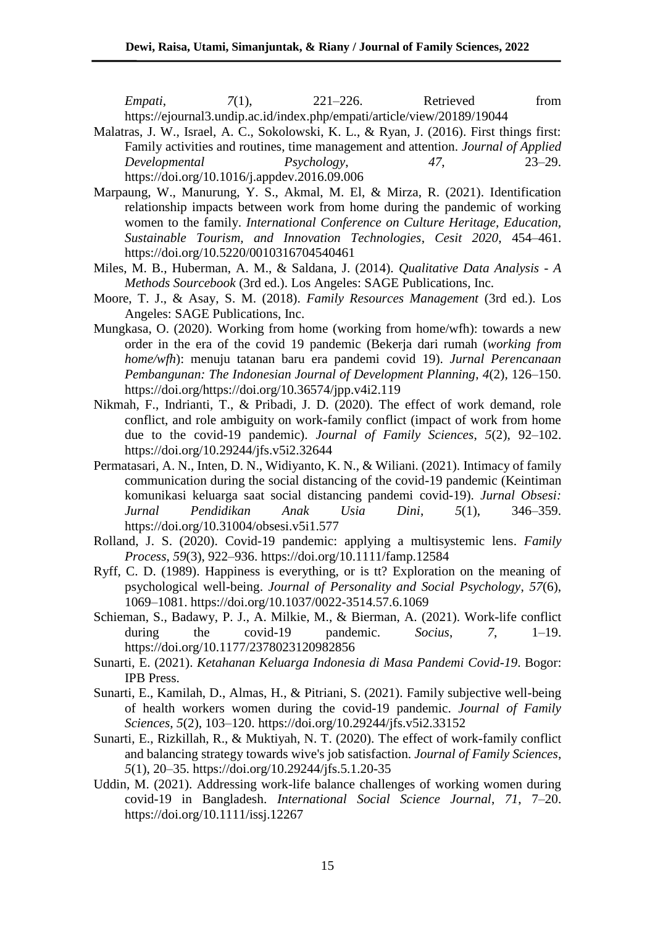*Empati*,  $7(1)$ ,  $221-226$ . Retrieved from https://ejournal3.undip.ac.id/index.php/empati/article/view/20189/19044

- Malatras, J. W., Israel, A. C., Sokolowski, K. L., & Ryan, J. (2016). First things first: Family activities and routines, time management and attention. *Journal of Applied Developmental Psychology*, *47*, 23–29. https://doi.org/10.1016/j.appdev.2016.09.006
- Marpaung, W., Manurung, Y. S., Akmal, M. El, & Mirza, R. (2021). Identification relationship impacts between work from home during the pandemic of working women to the family. *International Conference on Culture Heritage, Education, Sustainable Tourism, and Innovation Technologies*, *Cesit 2020*, 454–461. https://doi.org/10.5220/0010316704540461
- Miles, M. B., Huberman, A. M., & Saldana, J. (2014). *Qualitative Data Analysis - A Methods Sourcebook* (3rd ed.). Los Angeles: SAGE Publications, Inc.
- Moore, T. J., & Asay, S. M. (2018). *Family Resources Management* (3rd ed.). Los Angeles: SAGE Publications, Inc.
- Mungkasa, O. (2020). Working from home (working from home/wfh): towards a new order in the era of the covid 19 pandemic (Bekerja dari rumah (*working from home/wfh*): menuju tatanan baru era pandemi covid 19). *Jurnal Perencanaan Pembangunan: The Indonesian Journal of Development Planning*, *4*(2), 126–150. https://doi.org/https://doi.org/10.36574/jpp.v4i2.119
- Nikmah, F., Indrianti, T., & Pribadi, J. D. (2020). The effect of work demand, role conflict, and role ambiguity on work-family conflict (impact of work from home due to the covid-19 pandemic). *Journal of Family Sciences*, *5*(2), 92–102. https://doi.org/10.29244/jfs.v5i2.32644
- Permatasari, A. N., Inten, D. N., Widiyanto, K. N., & Wiliani. (2021). Intimacy of family communication during the social distancing of the covid-19 pandemic (Keintiman komunikasi keluarga saat social distancing pandemi covid-19). *Jurnal Obsesi: Jurnal Pendidikan Anak Usia Dini*, *5*(1), 346–359. https://doi.org/10.31004/obsesi.v5i1.577
- Rolland, J. S. (2020). Covid-19 pandemic: applying a multisystemic lens. *Family Process*, *59*(3), 922–936. https://doi.org/10.1111/famp.12584
- Ryff, C. D. (1989). Happiness is everything, or is tt? Exploration on the meaning of psychological well-being. *Journal of Personality and Social Psychology*, *57*(6), 1069–1081. https://doi.org/10.1037/0022-3514.57.6.1069
- Schieman, S., Badawy, P. J., A. Milkie, M., & Bierman, A. (2021). Work-life conflict during the covid-19 pandemic. *Socius*, *7*, 1–19. https://doi.org/10.1177/2378023120982856
- Sunarti, E. (2021). *Ketahanan Keluarga Indonesia di Masa Pandemi Covid-19*. Bogor: IPB Press.
- Sunarti, E., Kamilah, D., Almas, H., & Pitriani, S. (2021). Family subjective well-being of health workers women during the covid-19 pandemic. *Journal of Family Sciences*, *5*(2), 103–120. https://doi.org/10.29244/jfs.v5i2.33152
- Sunarti, E., Rizkillah, R., & Muktiyah, N. T. (2020). The effect of work-family conflict and balancing strategy towards wive's job satisfaction. *Journal of Family Sciences*, *5*(1), 20–35. https://doi.org/10.29244/jfs.5.1.20-35
- Uddin, M. (2021). Addressing work-life balance challenges of working women during covid-19 in Bangladesh. *International Social Science Journal*, *71*, 7–20. https://doi.org/10.1111/issj.12267